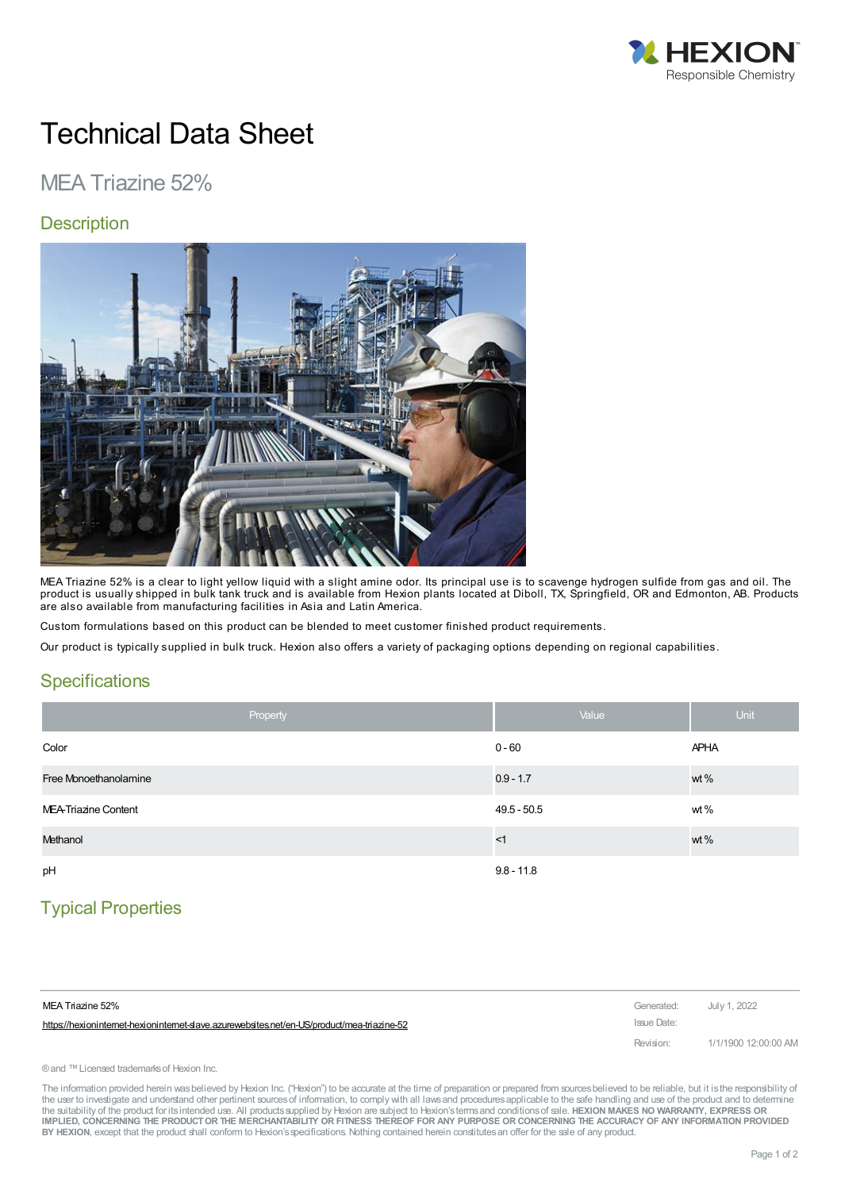

# Technical Data Sheet

## MEA Triazine 52%

### **Description**



MEA Triazine 52% is a clear to light yellow liquid with a slight amine odor. Its principal use is to scavenge hydrogen sulfide from gas and oil. The product is usually shipped in bulk tank truck and is available from Hexion plants located at Diboll, TX, Springfield, OR and Edmonton, AB. Products are also available from manufacturing facilities in Asia and Latin America.

Custom formulations based on this product can be blended to meet customer finished product requirements.

Our product is typically supplied in bulk truck. Hexion also offers a variety of packaging options depending on regional capabilities.

#### **Specifications**

| Property              | Value         | <b>Unit</b> |
|-----------------------|---------------|-------------|
| Color                 | $0 - 60$      | <b>APHA</b> |
| Free Monoethanolamine | $0.9 - 1.7$   | wt %        |
| MEA-Triazine Content  | $49.5 - 50.5$ | wt $%$      |
| Methanol              | <1            | wt%         |
| pH                    | $9.8 - 11.8$  |             |

## Typical Properties

| MEA Triazine 52%                                                                          | Generated: July 1, 2022 |                      |
|-------------------------------------------------------------------------------------------|-------------------------|----------------------|
| https://hexionintemet-hexionintemet-slave.azurewebsites.net/en-US/product/mea-triazine-52 | Issue Date:             |                      |
|                                                                                           | Revision:               | 1/1/1900 12:00:00 AM |

® and ™ Licensed trademarks of Hexion Inc.

The information provided herein was believed by Hexion Inc. ("Hexion") to be accurate at the time of preparation or prepared from sources believed to be reliable, but it is the responsibility of the user to investigate and understand other pertinent sources of information, to comply with all laws and procedures applicable to the safe handling and use of the product and to determine the suitability of the product for itsintended use. All productssupplied by Hexion are subject to Hexion'stermsand conditionsof sale. **HEXION MAKES NO WARRANTY, EXPRESS OR** IMPLIED, CONCERNING THE PRODUCT OR THE MERCHANTABILITY OR FITNESS THEREOF FOR ANY PURPOSE OR CONCERNING THE ACCURACY OF ANY INFORMATION PROVIDED **BY HEXION**, except that the product shall conform to Hexion'sspecifications. Nothing contained herein constitutesan offer for the sale of any product.